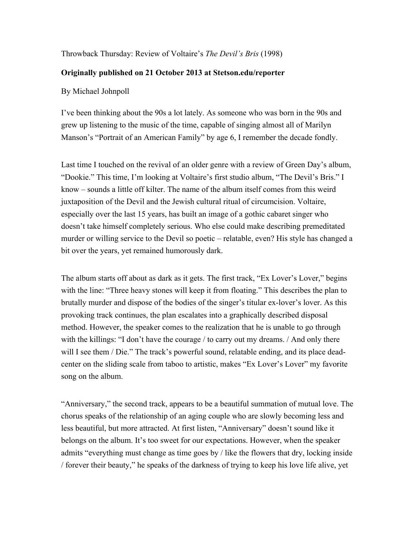## Throwback Thursday: Review of Voltaire's *The Devil's Bris* (1998)

## **Originally published on 21 October 2013 at Stetson.edu/reporter**

## By Michael Johnpoll

I've been thinking about the 90s a lot lately. As someone who was born in the 90s and grew up listening to the music of the time, capable of singing almost all of Marilyn Manson's "Portrait of an American Family" by age 6, I remember the decade fondly.

Last time I touched on the revival of an older genre with a review of Green Day's album, "Dookie." This time, I'm looking at Voltaire's first studio album, "The Devil's Bris." I know – sounds a little off kilter. The name of the album itself comes from this weird juxtaposition of the Devil and the Jewish cultural ritual of circumcision. Voltaire, especially over the last 15 years, has built an image of a gothic cabaret singer who doesn't take himself completely serious. Who else could make describing premeditated murder or willing service to the Devil so poetic – relatable, even? His style has changed a bit over the years, yet remained humorously dark.

The album starts off about as dark as it gets. The first track, "Ex Lover's Lover," begins with the line: "Three heavy stones will keep it from floating." This describes the plan to brutally murder and dispose of the bodies of the singer's titular ex-lover's lover. As this provoking track continues, the plan escalates into a graphically described disposal method. However, the speaker comes to the realization that he is unable to go through with the killings: "I don't have the courage / to carry out my dreams. / And only there will I see them / Die." The track's powerful sound, relatable ending, and its place deadcenter on the sliding scale from taboo to artistic, makes "Ex Lover's Lover" my favorite song on the album.

"Anniversary," the second track, appears to be a beautiful summation of mutual love. The chorus speaks of the relationship of an aging couple who are slowly becoming less and less beautiful, but more attracted. At first listen, "Anniversary" doesn't sound like it belongs on the album. It's too sweet for our expectations. However, when the speaker admits "everything must change as time goes by / like the flowers that dry, locking inside / forever their beauty," he speaks of the darkness of trying to keep his love life alive, yet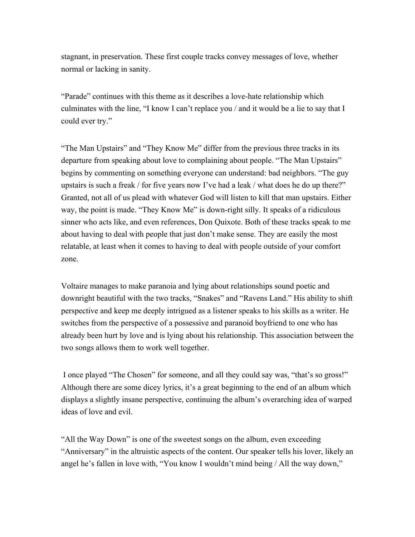stagnant, in preservation. These first couple tracks convey messages of love, whether normal or lacking in sanity.

"Parade" continues with this theme as it describes a love-hate relationship which culminates with the line, "I know I can't replace you / and it would be a lie to say that I could ever try."

"The Man Upstairs" and "They Know Me" differ from the previous three tracks in its departure from speaking about love to complaining about people. "The Man Upstairs" begins by commenting on something everyone can understand: bad neighbors. "The guy upstairs is such a freak / for five years now I've had a leak / what does he do up there?" Granted, not all of us plead with whatever God will listen to kill that man upstairs. Either way, the point is made. "They Know Me" is down-right silly. It speaks of a ridiculous sinner who acts like, and even references, Don Quixote. Both of these tracks speak to me about having to deal with people that just don't make sense. They are easily the most relatable, at least when it comes to having to deal with people outside of your comfort zone.

Voltaire manages to make paranoia and lying about relationships sound poetic and downright beautiful with the two tracks, "Snakes" and "Ravens Land." His ability to shift perspective and keep me deeply intrigued as a listener speaks to his skills as a writer. He switches from the perspective of a possessive and paranoid boyfriend to one who has already been hurt by love and is lying about his relationship. This association between the two songs allows them to work well together.

I once played "The Chosen" for someone, and all they could say was, "that's so gross!" Although there are some dicey lyrics, it's a great beginning to the end of an album which displays a slightly insane perspective, continuing the album's overarching idea of warped ideas of love and evil.

"All the Way Down" is one of the sweetest songs on the album, even exceeding "Anniversary" in the altruistic aspects of the content. Our speaker tells his lover, likely an angel he's fallen in love with, "You know I wouldn't mind being / All the way down,"